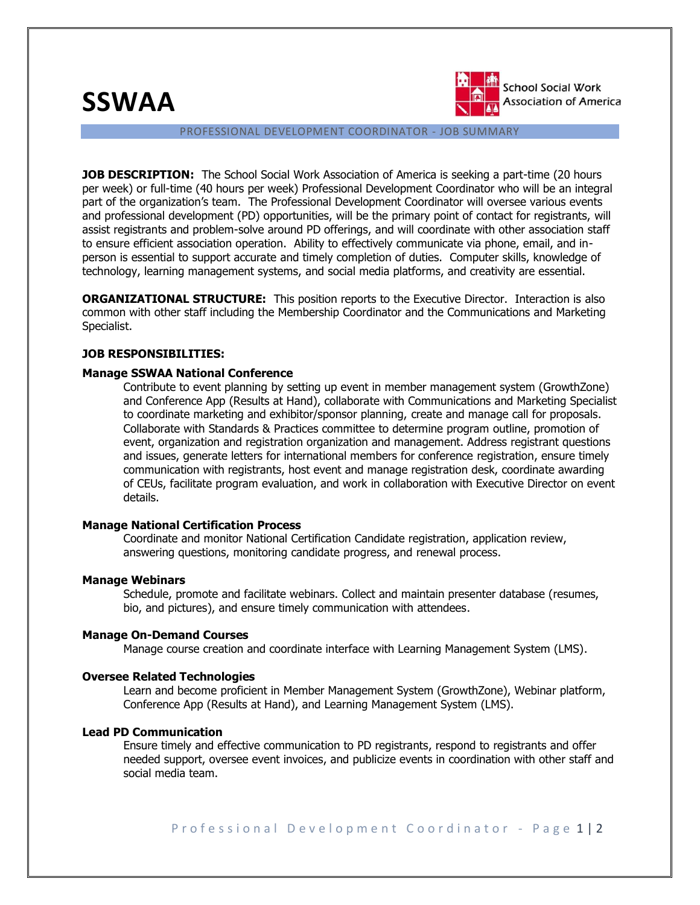**SSWAA**



**School Social Work Association of America** 

PROFESSIONAL DEVELOPMENT COORDINATOR - JOB SUMMARY

**JOB DESCRIPTION:** The School Social Work Association of America is seeking a part-time (20 hours per week) or full-time (40 hours per week) Professional Development Coordinator who will be an integral part of the organization's team. The Professional Development Coordinator will oversee various events and professional development (PD) opportunities, will be the primary point of contact for registrants, will assist registrants and problem-solve around PD offerings, and will coordinate with other association staff to ensure efficient association operation. Ability to effectively communicate via phone, email, and inperson is essential to support accurate and timely completion of duties. Computer skills, knowledge of technology, learning management systems, and social media platforms, and creativity are essential.

**ORGANIZATIONAL STRUCTURE:** This position reports to the Executive Director. Interaction is also common with other staff including the Membership Coordinator and the Communications and Marketing Specialist.

# **JOB RESPONSIBILITIES:**

## **Manage SSWAA National Conference**

Contribute to event planning by setting up event in member management system (GrowthZone) and Conference App (Results at Hand), collaborate with Communications and Marketing Specialist to coordinate marketing and exhibitor/sponsor planning, create and manage call for proposals. Collaborate with Standards & Practices committee to determine program outline, promotion of event, organization and registration organization and management. Address registrant questions and issues, generate letters for international members for conference registration, ensure timely communication with registrants, host event and manage registration desk, coordinate awarding of CEUs, facilitate program evaluation, and work in collaboration with Executive Director on event details.

## **Manage National Certification Process**

Coordinate and monitor National Certification Candidate registration, application review, answering questions, monitoring candidate progress, and renewal process.

### **Manage Webinars**

Schedule, promote and facilitate webinars. Collect and maintain presenter database (resumes, bio, and pictures), and ensure timely communication with attendees.

### **Manage On-Demand Courses**

Manage course creation and coordinate interface with Learning Management System (LMS).

### **Oversee Related Technologies**

Learn and become proficient in Member Management System (GrowthZone), Webinar platform, Conference App (Results at Hand), and Learning Management System (LMS).

# **Lead PD Communication**

Ensure timely and effective communication to PD registrants, respond to registrants and offer needed support, oversee event invoices, and publicize events in coordination with other staff and social media team.